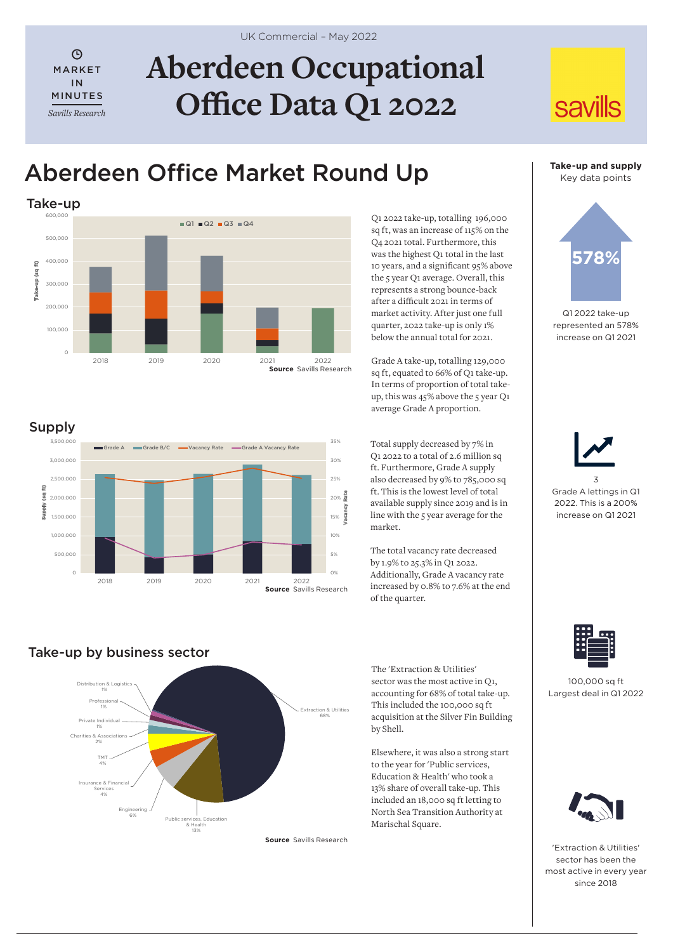$\odot$ MARKET IN MINUTES *Savills Research*

Supply

Supply (sq ft)

(sq ft) **Addns** 

0 500,000 1,000,000 1,500,000 2,000,000 2,500,000 3,000,000 3,500,000

# **Aberdeen Occupational Office Data Q1 2022**

## Aberdeen Office Market Round Up



Q1 2022 take-up, totalling 196,000 sq ft, was an increase of 115% on the Q4 2021 total. Furthermore, this was the highest Q1 total in the last 10 years, and a significant 95% above the 5 year Q1 average. Overall, this represents a strong bounce-back after a difficult 2021 in terms of market activity. After just one full quarter, 2022 take-up is only 1% below the annual total for 2021.

Grade A take-up, totalling 129,000 sq ft, equated to 66% of Q1 take-up. In terms of proportion of total takeup, this was 45% above the 5 year Q1 average Grade A proportion.

Total supply decreased by 7% in Q1 2022 to a total of 2.6 million sq ft. Furthermore, Grade A supply also decreased by 9% to 785,000 sq ft. This is the lowest level of total available supply since 2019 and is in line with the  $\frac{1}{5}$  year average for the market.

The total vacancy rate decreased by 1.9% to 25.3% in Q1 2022. Additionally, Grade A vacancy rate increased by 0.8% to 7.6% at the end of the quarter.

**Take-up and supply** Key data points

**savills** 



Q1 2022 take-up represented an 578% increase on Q1 2021





100,000 sq ft Largest deal in Q1 2022



'Extraction & Utilities' sector has been the most active in every year since 2018

## Take-up by business sector



2018 2019 2020 2021 2022

Grade A Grade B/C — Vacancy Rate — Grade A Vacancy Rate

**Source** Savills Research

**Source** Savills Research

0% 5% 10% 15%  $20%$ 25% 30% 35%

Vacancy Rate

The 'Extraction & Utilities' sector was the most active in Q1, accounting for 68% of total take-up. This included the 100,000 sq ft acquisition at the Silver Fin Building by Shell.

Elsewhere, it was also a strong start to the year for 'Public services, Education & Health' who took a 13% share of overall take-up. This included an 18,000 sq ft letting to North Sea Transition Authority at Marischal Square.